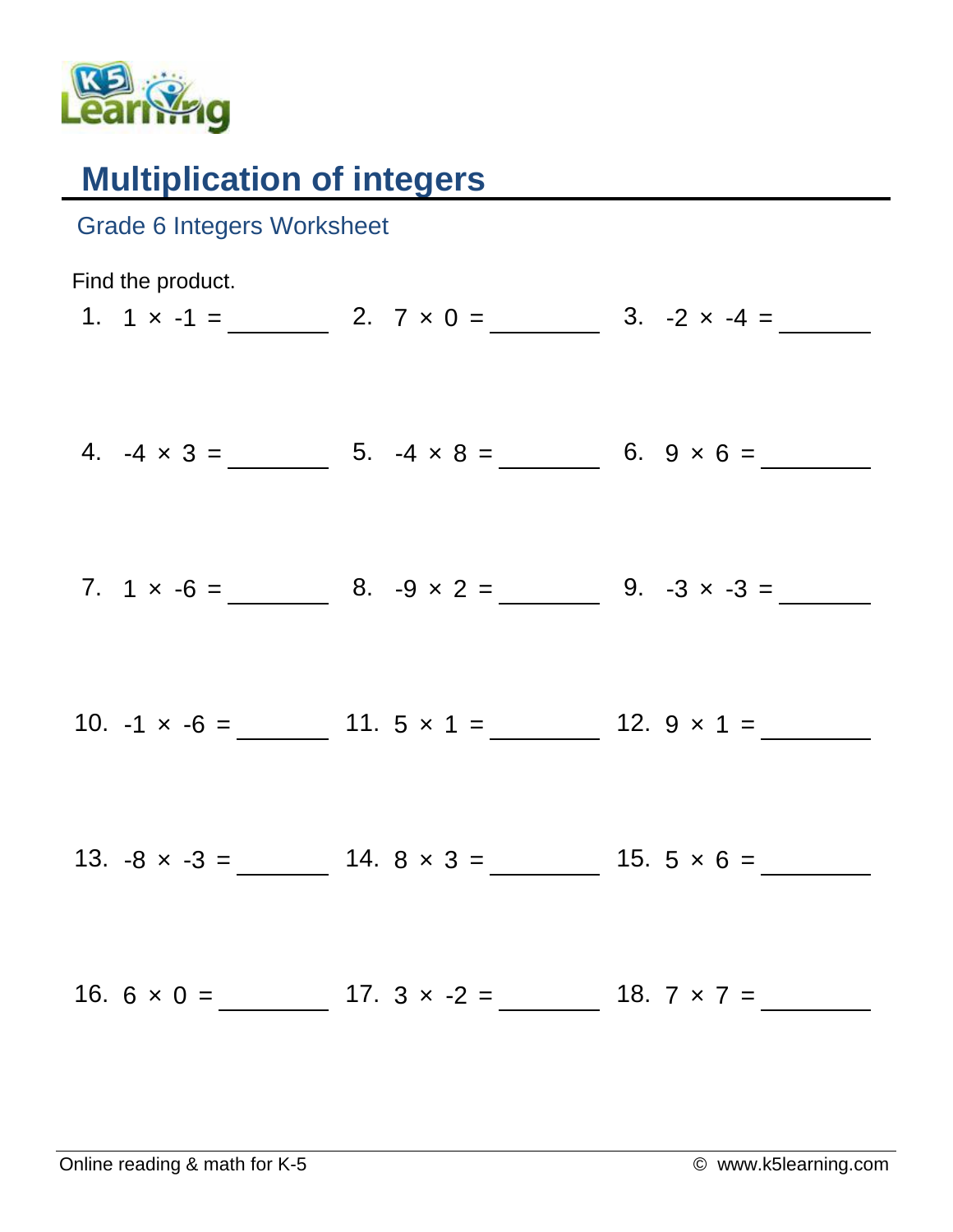

## **Multiplication of integers**

| <b>Grade 6 Integers Worksheet</b> |                                                            |                                                           |
|-----------------------------------|------------------------------------------------------------|-----------------------------------------------------------|
| Find the product.                 |                                                            | 1. $1 \times -1 =$ 2. $7 \times 0 =$ 3. $-2 \times -4 =$  |
|                                   | 4. $-4 \times 3 =$ 5. $-4 \times 8 =$ 6. $9 \times 6 =$    |                                                           |
|                                   |                                                            |                                                           |
|                                   | 10. $-1 \times -6 =$ 11. $5 \times 1 =$ 12. $9 \times 1 =$ |                                                           |
|                                   | 13. $-8 \times -3 =$ 14. $8 \times 3 =$ 15. $5 \times 6 =$ |                                                           |
|                                   |                                                            | 16. $6 \times 0 =$ 17. $3 \times -2 =$ 18. $7 \times 7 =$ |